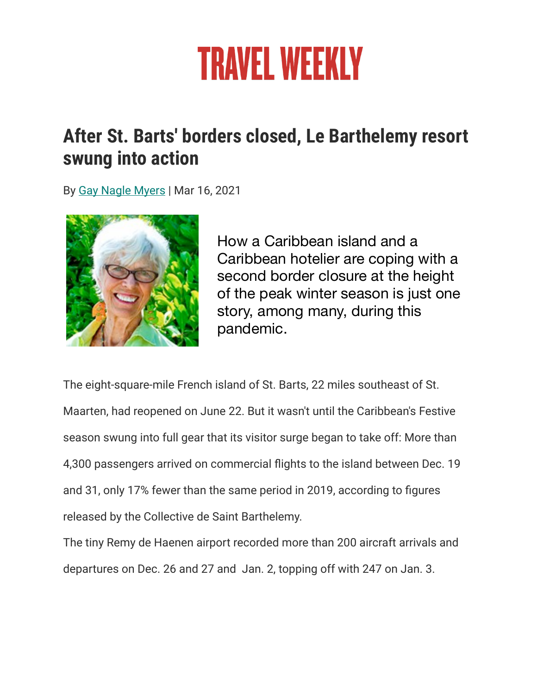## **TRAVEL WEEKLY**

## **After St. Barts' borders closed, Le Barthelemy resort swung into action**

By [Gay Nagle Myers](https://www.travelweekly.com/Gay-Nagle-Myers) | Mar 16, 2021



How a Caribbean island and a Caribbean hotelier are coping with a second border closure at the height of the peak winter season is just one story, among many, during this pandemic.

The eight-square-mile French island of St. Barts, 22 miles southeast of St. Maarten, had reopened on June 22. But it wasn't until the Caribbean's Festive season swung into full gear that its visitor surge began to take off: More than 4,300 passengers arrived on commercial flights to the island between Dec. 19 and 31, only 17% fewer than the same period in 2019, according to figures released by the Collective de Saint Barthelemy.

The tiny Remy de Haenen airport recorded more than 200 aircraft arrivals and departures on Dec. 26 and 27 and Jan. 2, topping off with 247 on Jan. 3.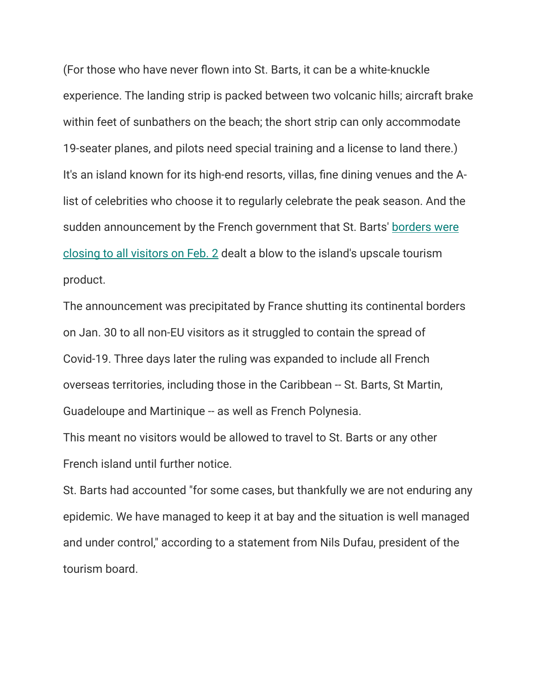(For those who have never flown into St. Barts, it can be a white-knuckle experience. The landing strip is packed between two volcanic hills; aircraft brake within feet of sunbathers on the beach; the short strip can only accommodate 19-seater planes, and pilots need special training and a license to land there.) It's an island known for its high-end resorts, villas, fine dining venues and the Alist of celebrities who choose it to regularly celebrate the peak season. And the sudden announcement by the French government that St. Barts' [borders were](https://www.travelweekly.com/Asia-Travel/French-government-shuts-down-Caribbean-Polynesian-islands)  [closing to all visitors on Feb. 2](https://www.travelweekly.com/Asia-Travel/French-government-shuts-down-Caribbean-Polynesian-islands) dealt a blow to the island's upscale tourism product.

The announcement was precipitated by France shutting its continental borders on Jan. 30 to all non-EU visitors as it struggled to contain the spread of Covid-19. Three days later the ruling was expanded to include all French overseas territories, including those in the Caribbean -- St. Barts, St Martin, Guadeloupe and Martinique -- as well as French Polynesia.

This meant no visitors would be allowed to travel to St. Barts or any other French island until further notice.

St. Barts had accounted "for some cases, but thankfully we are not enduring any epidemic. We have managed to keep it at bay and the situation is well managed and under control," according to a statement from Nils Dufau, president of the tourism board.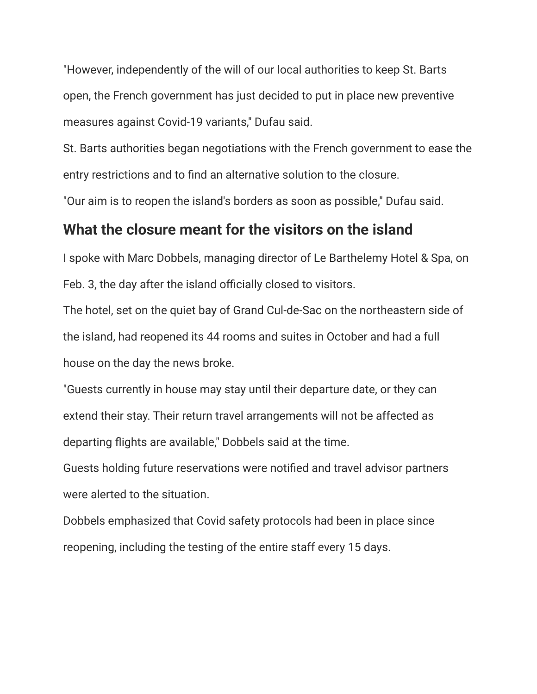"However, independently of the will of our local authorities to keep St. Barts open, the French government has just decided to put in place new preventive measures against Covid-19 variants," Dufau said.

St. Barts authorities began negotiations with the French government to ease the entry restrictions and to find an alternative solution to the closure.

"Our aim is to reopen the island's borders as soon as possible," Dufau said.

## **What the closure meant for the visitors on the island**

I spoke with Marc Dobbels, managing director of Le Barthelemy Hotel & Spa, on Feb. 3, the day after the island officially closed to visitors.

The hotel, set on the quiet bay of Grand Cul-de-Sac on the northeastern side of the island, had reopened its 44 rooms and suites in October and had a full house on the day the news broke.

"Guests currently in house may stay until their departure date, or they can extend their stay. Their return travel arrangements will not be affected as departing flights are available," Dobbels said at the time.

Guests holding future reservations were notified and travel advisor partners were alerted to the situation.

Dobbels emphasized that Covid safety protocols had been in place since reopening, including the testing of the entire staff every 15 days.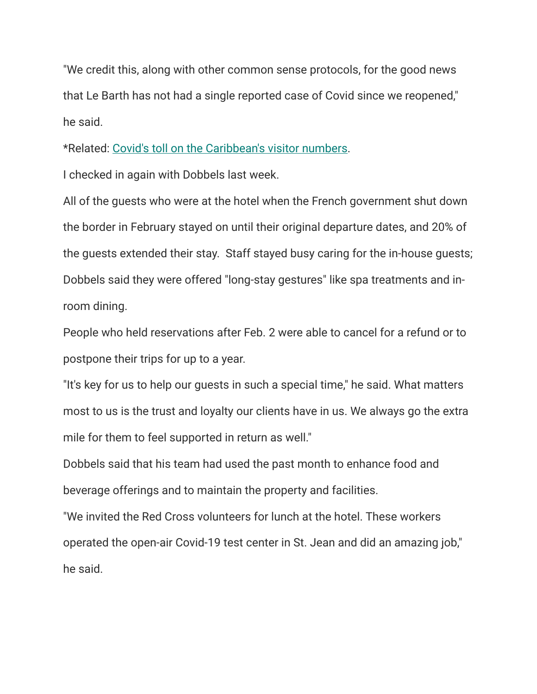"We credit this, along with other common sense protocols, for the good news that Le Barth has not had a single reported case of Covid since we reopened," he said.

\*Related: [Covid's toll on the Caribbean's visitor numbers](https://www.travelweekly.com/Caribbean-Travel/Caribbean-arrivals-plummeted-by-nearly-two-thirds-in-2020).

I checked in again with Dobbels last week.

All of the guests who were at the hotel when the French government shut down the border in February stayed on until their original departure dates, and 20% of the guests extended their stay. Staff stayed busy caring for the in-house guests; Dobbels said they were offered "long-stay gestures" like spa treatments and inroom dining.

People who held reservations after Feb. 2 were able to cancel for a refund or to postpone their trips for up to a year.

"It's key for us to help our guests in such a special time," he said. What matters most to us is the trust and loyalty our clients have in us. We always go the extra mile for them to feel supported in return as well."

Dobbels said that his team had used the past month to enhance food and beverage offerings and to maintain the property and facilities.

"We invited the Red Cross volunteers for lunch at the hotel. These workers operated the open-air Covid-19 test center in St. Jean and did an amazing job," he said.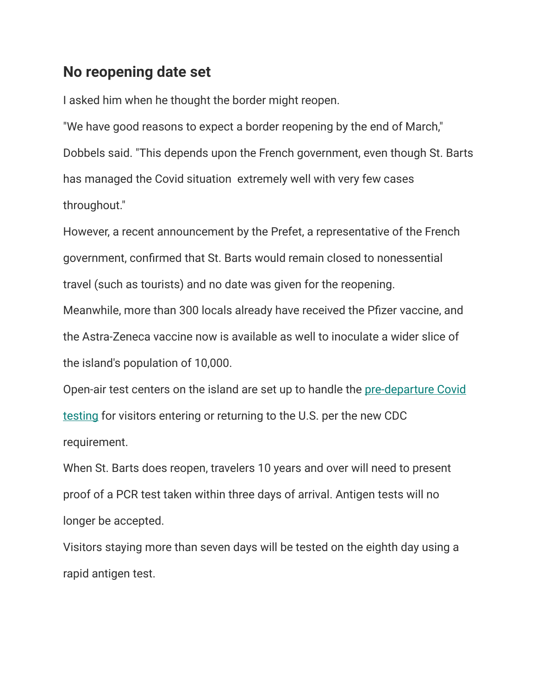## **No reopening date set**

I asked him when he thought the border might reopen.

"We have good reasons to expect a border reopening by the end of March," Dobbels said. "This depends upon the French government, even though St. Barts has managed the Covid situation extremely well with very few cases throughout."

However, a recent announcement by the Prefet, a representative of the French government, confirmed that St. Barts would remain closed to nonessential travel (such as tourists) and no date was given for the reopening.

Meanwhile, more than 300 locals already have received the Pfizer vaccine, and the Astra-Zeneca vaccine now is available as well to inoculate a wider slice of the island's population of 10,000.

Open-air test centers on the island are set up to handle the [pre-departure Covid](https://www.travelweekly.com/Travel-News/Airline-News/CDC-to-require-Covid-test-for-U-S-entry)  [testing](https://www.travelweekly.com/Travel-News/Airline-News/CDC-to-require-Covid-test-for-U-S-entry) for visitors entering or returning to the U.S. per the new CDC requirement.

When St. Barts does reopen, travelers 10 years and over will need to present proof of a PCR test taken within three days of arrival. Antigen tests will no longer be accepted.

Visitors staying more than seven days will be tested on the eighth day using a rapid antigen test.